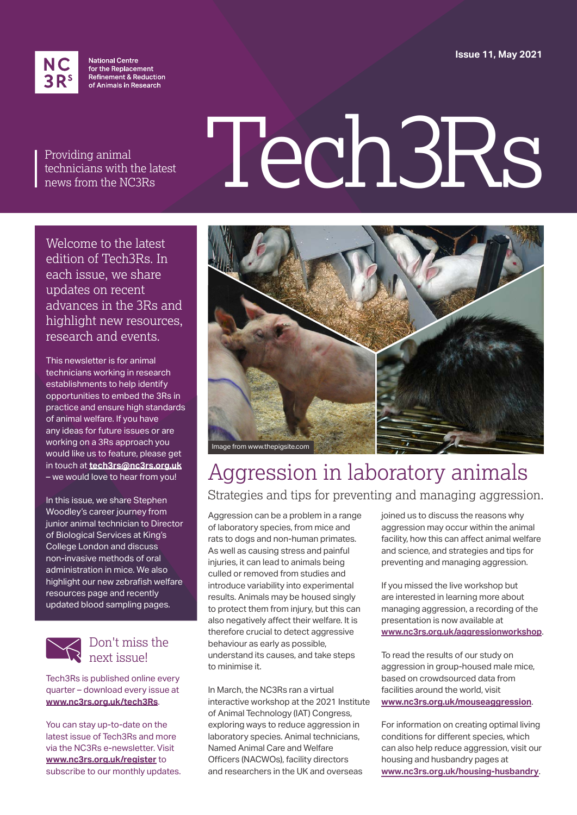**Issue 11, May 2021**



**National Centre** for the Replacement Refinement & Reduction of Animals in Research

Providing animal technicians with the latest news from the NC3Rs

# Tech3Rs

Welcome to the latest edition of Tech3Rs. In each issue, we share updates on recent advances in the 3Rs and highlight new resources, research and events.

This newsletter is for animal technicians working in research establishments to help identify opportunities to embed the 3Rs in practice and ensure high standards of animal welfare. If you have any ideas for future issues or are working on a 3Rs approach you would like us to feature, please get in touch at **[tech3rs@nc3rs.org.uk](mailto:tech3rs%40nc3rs.org.uk?subject=)** – we would love to hear from you!

In this issue, we share Stephen Woodley's career journey from junior animal technician to Director of Biological Services at King's College London and discuss non-invasive methods of oral administration in mice. We also highlight our new zebrafish welfare resources page and recently updated blood sampling pages.



#### Don't miss the next issue!

Tech3Rs is published online every quarter – download every issue at **[www.nc3rs.org.uk/tech3R](http://www.nc3rs.org.uk/tech3Rs)s**.

You can stay up-to-date on the latest issue of Tech3Rs and more via the NC3Rs e-newsletter. Visit **[www.nc3rs.org.uk/register](http://www.nc3rs.org.uk/register)** to subscribe to our monthly updates.



#### Aggression in laboratory animals Strategies and tips for preventing and managing aggression.

Aggression can be a problem in a range of laboratory species, from mice and rats to dogs and non-human primates. As well as causing stress and painful injuries, it can lead to animals being culled or removed from studies and introduce variability into experimental results. Animals may be housed singly to protect them from injury, but this can also negatively affect their welfare. It is therefore crucial to detect aggressive behaviour as early as possible, understand its causes, and take steps to minimise it.

In March, the NC3Rs ran a virtual interactive workshop at the 2021 Institute of Animal Technology (IAT) Congress, exploring ways to reduce aggression in laboratory species. Animal technicians, Named Animal Care and Welfare Officers (NACWOs), facility directors and researchers in the UK and overseas

joined us to discuss the reasons why aggression may occur within the animal facility, how this can affect animal welfare and science, and strategies and tips for preventing and managing aggression.

If you missed the live workshop but are interested in learning more about managing aggression, a recording of the presentation is now available at **[www.nc3rs.org.uk/aggressionworkshop](http://www.nc3rs.org.uk/aggressionworkshop)**.

To read the results of our study on aggression in group-housed male mice, based on crowdsourced data from facilities around the world, visit **[www.nc3rs.org.uk/mouseaggression](http://www.nc3rs.org.uk/mouseaggression)**.

For information on creating optimal living conditions for different species, which can also help reduce aggression, visit our housing and husbandry pages at **[www.nc3rs.org.uk/housing](http://www.nc3rs.org.uk/housing-husbandry)-husbandry**.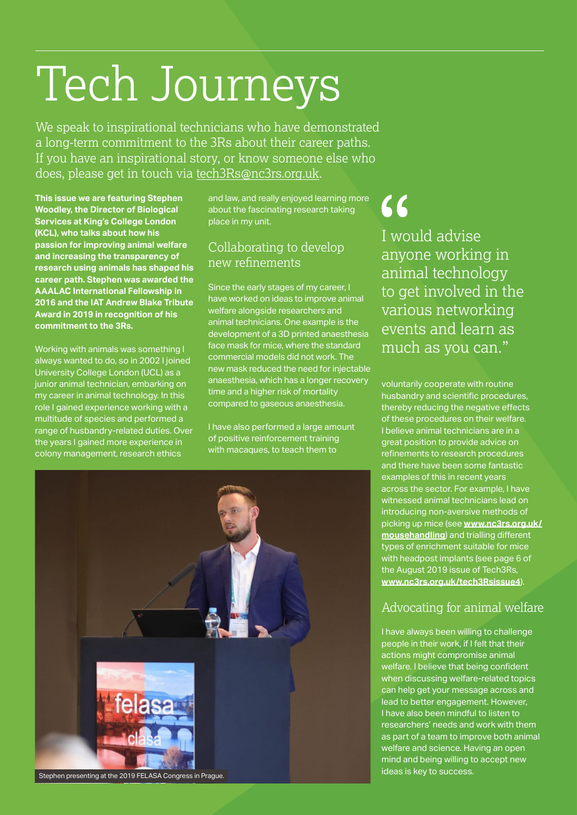# Tech Journeys

We speak to inspirational technicians who have demonstrated a long-term commitment to the 3Rs about their career paths. If you have an inspirational story, or know someone else who does, please get in touch via [tech3Rs@nc3rs.org.uk](mailto:tech3Rs%40nc3rs.org.uk?subject=).

**This issue we are featuring Stephen Woodley, the Director of Biological Services at King's College London (KCL), who talks about how his passion for improving animal welfare and increasing the transparency of research using animals has shaped his career path. Stephen was awarded the AAALAC International Fellowship in 2016 and the IAT Andrew Blake Tribute Award in 2019 in recognition of his commitment to the 3Rs.**

Working with animals was something I always wanted to do, so in 2002 I joined University College London (UCL) as a junior animal technician, embarking on my career in animal technology. In this role I gained experience working with a multitude of species and performed a range of husbandry-related duties. Over the years I gained more experience in colony management, research ethics

and law, and really enjoyed learning more about the fascinating research taking place in my unit.

#### Collaborating to develop new refinements

Since the early stages of my career, I have worked on ideas to improve animal welfare alongside researchers and animal technicians. One example is the development of a 3D printed anaesthesia face mask for mice, where the standard commercial models did not work. The new mask reduced the need for injectable anaesthesia, which has a longer recovery time and a higher risk of mortality compared to gaseous anaesthesia.

I have also performed a large amount of positive reinforcement training with macaques, to teach them to



 $\mathcal{L}\mathcal{L}$ 

I would advise anyone working in animal technology to get involved in the various networking events and learn as much as you can."

voluntarily cooperate with routine husbandry and scientific procedures, thereby reducing the negative effects of these procedures on their welfare. I believe animal technicians are in a great position to provide advice on refinements to research procedures and there have been some fantastic examples of this in recent years across the sector. For example, I have witnessed animal technicians lead on introducing non-aversive methods of picking up mice (see **[www.nc3rs.org.uk/](http://www.nc3rs.org.uk/mousehandling) [mousehandling](http://www.nc3rs.org.uk/mousehandling)**) and trialling different types of enrichment suitable for mice with headpost implants (see page 6 of the August 2019 issue of Tech3Rs, **[www.nc3rs.org.uk/tech3Rsissue4](http://www.nc3rs.org.uk/tech3Rsissue4)**).

#### Advocating for animal welfare

I have always been willing to challenge people in their work, if I felt that their actions might compromise animal welfare. I believe that being confident when discussing welfare-related topics can help get your message across and lead to better engagement. However, I have also been mindful to listen to researchers' needs and work with them as part of a team to improve both animal welfare and science. Having an open mind and being willing to accept new ideas is key to success.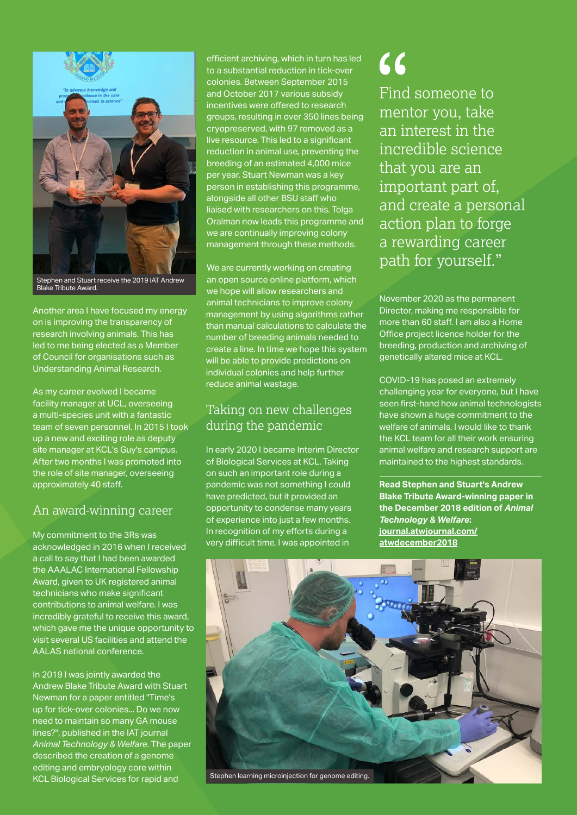

Stephen and Stuart receive the 2019 IAT Andrew Blake Tribute Award.

Another area I have focused my energy on is improving the transparency of research involving animals. This has led to me being elected as a Member of Council for organisations such as Understanding Animal Research.

As my career evolved I became facility manager at UCL, overseeing a multi-species unit with a fantastic team of seven personnel. In 2015 I took up a new and exciting role as deputy site manager at KCL's Guy's campus. After two months I was promoted into the role of site manager, overseeing approximately 40 staff.

#### An award-winning career

My commitment to the 3Rs was acknowledged in 2016 when I received a call to say that I had been awarded the AAALAC International Fellowship Award, given to UK registered animal technicians who make significant contributions to animal welfare. I was incredibly grateful to receive this award, which gave me the unique opportunity to visit several US facilities and attend the AALAS national conference.

In 2019 I was jointly awarded the Andrew Blake Tribute Award with Stuart Newman for a paper entitled "Time's up for tick-over colonies... Do we now need to maintain so many GA mouse lines?", published in the IAT journal *Animal Technology & Welfare*. The paper described the creation of a genome editing and embryology core within KCL Biological Services for rapid and

efficient archiving, which in turn has led to a substantial reduction in tick-over colonies. Between September 2015 and October 2017 various subsidy incentives were offered to research groups, resulting in over 350 lines being cryopreserved, with 97 removed as a live resource. This led to a significant reduction in animal use, preventing the breeding of an estimated 4,000 mice per year. Stuart Newman was a key person in establishing this programme, alongside all other BSU staff who liaised with researchers on this. Tolga Oralman now leads this programme and we are continually improving colony management through these methods.

We are currently working on creating an open source online platform, which we hope will allow researchers and animal technicians to improve colony management by using algorithms rather than manual calculations to calculate the number of breeding animals needed to create a line. In time we hope this system will be able to provide predictions on individual colonies and help further reduce animal wastage.

#### Taking on new challenges during the pandemic

In early 2020 I became Interim Director of Biological Services at KCL. Taking on such an important role during a pandemic was not something I could have predicted, but it provided an opportunity to condense many years of experience into just a few months. In recognition of my efforts during a very difficult time, I was appointed in

### 66

Find someone to mentor you, take an interest in the incredible science that you are an important part of, and create a personal action plan to forge a rewarding career path for yourself."

November 2020 as the permanent Director, making me responsible for more than 60 staff. I am also a Home Office project licence holder for the breeding, production and archiving of genetically altered mice at KCL.

COVID-19 has posed an extremely challenging year for everyone, but I have seen first-hand how animal technologists have shown a huge commitment to the welfare of animals. I would like to thank the KCL team for all their work ensuring animal welfare and research support are maintained to the highest standards.

**Read Stephen and Stuart's Andrew Blake Tribute Award-winning paper in the December 2018 edition of** *Animal Technology & Welfare***: [journal.atwjournal.com/](http://journal.atwjournal.com/atwdecember2018) [atwdecember2018](http://journal.atwjournal.com/atwdecember2018)**

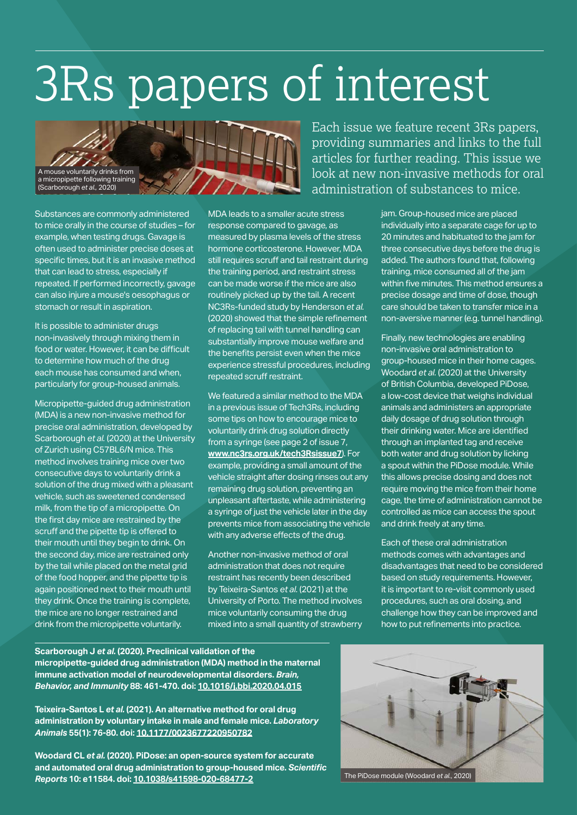# 3Rs papers of interest



Substances are commonly administered to mice orally in the course of studies – for example, when testing drugs. Gavage is often used to administer precise doses at specific times, but it is an invasive method that can lead to stress, especially if repeated. If performed incorrectly, gavage can also injure a mouse's oesophagus or stomach or result in aspiration.

It is possible to administer drugs non-invasively through mixing them in food or water. However, it can be difficult to determine how much of the drug each mouse has consumed and when, particularly for group-housed animals.

Micropipette‑guided drug administration (MDA) is a new non-invasive method for precise oral administration, developed by Scarborough *et al.* (2020) at the University of Zurich using C57BL6/N mice. This method involves training mice over two consecutive days to voluntarily drink a solution of the drug mixed with a pleasant vehicle, such as sweetened condensed milk, from the tip of a micropipette. On the first day mice are restrained by the scruff and the pipette tip is offered to their mouth until they begin to drink. On the second day, mice are restrained only by the tail while placed on the metal grid of the food hopper, and the pipette tip is again positioned next to their mouth until they drink. Once the training is complete, the mice are no longer restrained and drink from the micropipette voluntarily.

MDA leads to a smaller acute stress response compared to gavage, as measured by plasma levels of the stress hormone corticosterone. However, MDA still requires scruff and tail restraint during the training period, and restraint stress can be made worse if the mice are also routinely picked up by the tail. A recent NC3Rs‑funded study by Henderson *et al.* (2020) showed that the simple refinement of replacing tail with tunnel handling can substantially improve mouse welfare and the benefits persist even when the mice experience stressful procedures, including repeated scruff restraint.

We featured a similar method to the MDA in a previous issue of Tech3Rs, including some tips on how to encourage mice to voluntarily drink drug solution directly from a syringe (see page 2 of issue 7, **[www.nc3rs.org.uk/tech3Rsissue7](http://www.nc3rs.org.uk/tech3Rsissue7)**). For example, providing a small amount of the vehicle straight after dosing rinses out any remaining drug solution, preventing an unpleasant aftertaste, while administering a syringe of just the vehicle later in the day prevents mice from associating the vehicle with any adverse effects of the drug.

Another non-invasive method of oral administration that does not require restraint has recently been described by Teixeira-Santos *et al.* (2021) at the University of Porto. The method involves mice voluntarily consuming the drug mixed into a small quantity of strawberry

Each issue we feature recent 3Rs papers, providing summaries and links to the full articles for further reading. This issue we look at new non-invasive methods for oral administration of substances to mice.

> jam. Group-housed mice are placed individually into a separate cage for up to 20 minutes and habituated to the jam for three consecutive days before the drug is added. The authors found that, following training, mice consumed all of the jam within five minutes. This method ensures a precise dosage and time of dose, though care should be taken to transfer mice in a non‑aversive manner (e.g. tunnel handling).

> Finally, new technologies are enabling non-invasive oral administration to group-housed mice in their home cages. Woodard *et al.* (2020) at the University of British Columbia, developed PiDose, a low-cost device that weighs individual animals and administers an appropriate daily dosage of drug solution through their drinking water. Mice are identified through an implanted tag and receive both water and drug solution by licking a spout within the PiDose module. While this allows precise dosing and does not require moving the mice from their home cage, the time of administration cannot be controlled as mice can access the spout and drink freely at any time.

> Each of these oral administration methods comes with advantages and disadvantages that need to be considered based on study requirements. However, it is important to re-visit commonly used procedures, such as oral dosing, and challenge how they can be improved and how to put refinements into practice.

**Scarborough J** *et al.* **(2020). Preclinical validation of the micropipette-guided drug administration (MDA) method in the maternal immune activation model of neurodevelopmental disorders.** *Brain, Behavior, and Immunity* **88: 461-470. doi: [10.1016/j.bbi.2020.04.015](http://doi.org/10.1016/j.bbi.2020.04.015)**

**Teixeira-Santos L** *et al.* **(2021). An alternative method for oral drug administration by voluntary intake in male and female mice.** *Laboratory Animals* **55(1): 76-80. doi: [10.1177/0023677220950782](http://doi.org/10.1177/0023677220950782)**

**Woodard CL** *et al.* **(2020). PiDose: an open-source system for accurate and automated oral drug administration to group-housed mice.** *Scientific Reports* **10: e11584. doi: [10.1038/s41598-020-68477-2](http://doi.org/10.1038/s41598-020-68477-2)**



The PiDose module (Woodard *et al.*, 2020)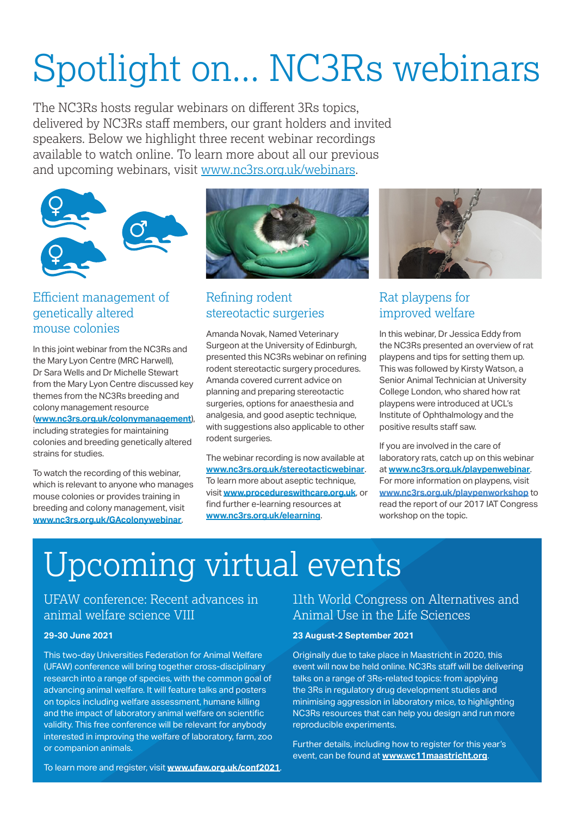# Spotlight on... NC3Rs webinars

The NC3Rs hosts regular webinars on different 3Rs topics, delivered by NC3Rs staff members, our grant holders and invited speakers. Below we highlight three recent webinar recordings available to watch online. To learn more about all our previous and upcoming webinars, visit [www.nc3rs.org.uk/webinars.](http://www.nc3rs.org.uk/webinars)



#### Efficient management of genetically altered mouse colonies

In this joint webinar from the NC3Rs and the Mary Lyon Centre (MRC Harwell), Dr Sara Wells and Dr Michelle Stewart from the Mary Lyon Centre discussed key themes from the NC3Rs breeding and colony management resource

(**[www.nc3rs.org.uk/colonymanagement](http://www.nc3rs.org.uk/colonymanagement)**), including strategies for maintaining colonies and breeding genetically altered strains for studies.

To watch the recording of this webinar, which is relevant to anyone who manages mouse colonies or provides training in breeding and colony management, visit **[www.nc3rs.org.uk/GAcolonywebinar](http://www.nc3rs.org.uk/GAcolonywebinar)**.



#### Refining rodent stereotactic surgeries

Amanda Novak, Named Veterinary Surgeon at the University of Edinburgh, presented this NC3Rs webinar on refining rodent stereotactic surgery procedures. Amanda covered current advice on planning and preparing stereotactic surgeries, options for anaesthesia and analgesia, and good aseptic technique, with suggestions also applicable to other rodent surgeries.

The webinar recording is now available at **[www.nc3rs.org.uk/stereotacticwebinar](http://www.nc3rs.org.uk/stereotacticwebinar)**. To learn more about aseptic technique, visit **[www.procedureswithcare.org.uk](http://www.procedureswithcare.org.uk)**, or find further e-learning resources at **[www.nc3rs.org.uk/elearning](http://www.nc3rs.org.uk/elearning)**.



#### Rat playpens for improved welfare

In this webinar, Dr Jessica Eddy from the NC3Rs presented an overview of rat playpens and tips for setting them up. This was followed by Kirsty Watson, a Senior Animal Technician at University College London, who shared how rat playpens were introduced at UCL's Institute of Ophthalmology and the positive results staff saw.

If you are involved in the care of laboratory rats, catch up on this webinar at **[www.nc3rs.org.uk/playpenwebinar](http://www.nc3rs.org.uk/playpenwebinar)**. For more information on playpens, visit **[www.nc3rs.org.uk/playpenworkshop](http://www.nc3rs.org.uk/playpenworkshop)** to read the report of our 2017 IAT Congress workshop on the topic.

## Upcoming virtual events

UFAW conference: Recent advances in animal welfare science VIII

#### **29-30 June 2021**

This two-day Universities Federation for Animal Welfare (UFAW) conference will bring together cross-disciplinary research into a range of species, with the common goal of advancing animal welfare. It will feature talks and posters on topics including welfare assessment, humane killing and the impact of laboratory animal welfare on scientific validity. This free conference will be relevant for anybody interested in improving the welfare of laboratory, farm, zoo or companion animals.

11th World Congress on Alternatives and Animal Use in the Life Sciences

#### **23 August-2 September 2021**

Originally due to take place in Maastricht in 2020, this event will now be held online. NC3Rs staff will be delivering talks on a range of 3Rs-related topics: from applying the 3Rs in regulatory drug development studies and minimising aggression in laboratory mice, to highlighting NC3Rs resources that can help you design and run more reproducible experiments.

Further details, including how to register for this year's event, can be found at **[www.wc11maastricht.org](http://www.wc11maastricht.org)**.

To learn more and register, visit **[www.ufaw.org.uk/conf2021](http://www.ufaw.org.uk/conf2021)**.